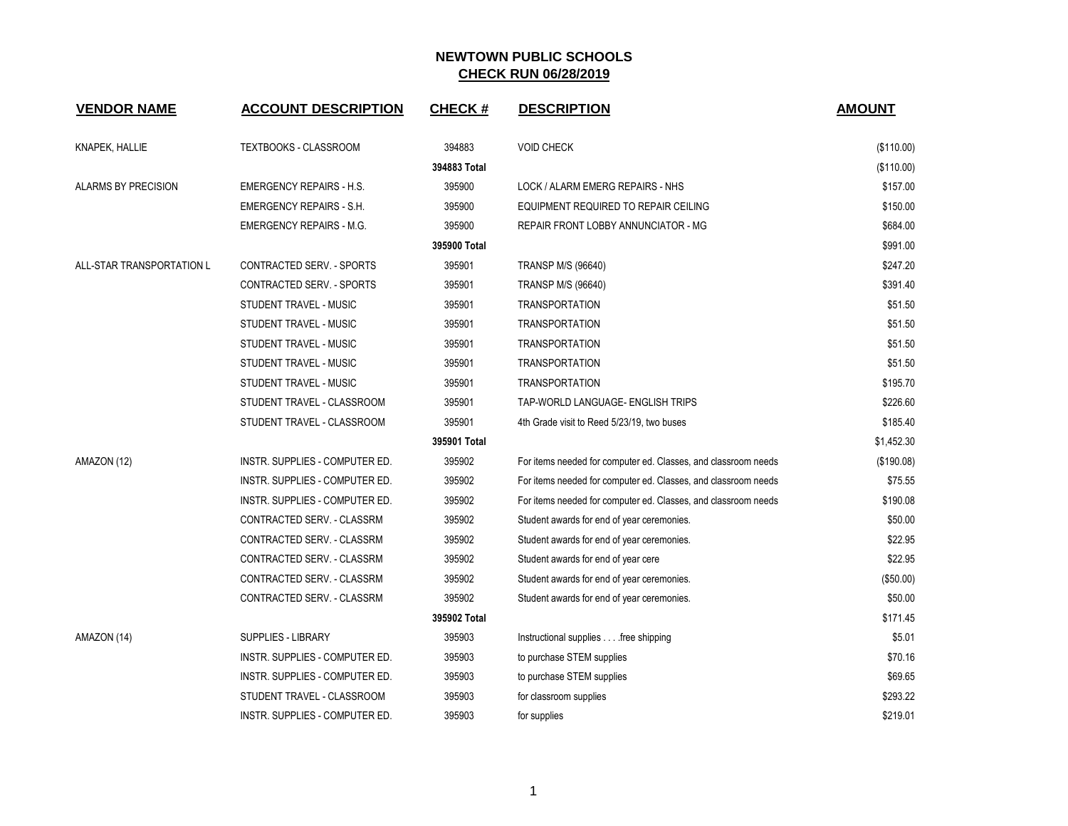| <b>VENDOR NAME</b>        | <b>ACCOUNT DESCRIPTION</b>            | <b>CHECK#</b> | <b>DESCRIPTION</b>                                             | <b>AMOUNT</b> |
|---------------------------|---------------------------------------|---------------|----------------------------------------------------------------|---------------|
| <b>KNAPEK, HALLIE</b>     | TEXTBOOKS - CLASSROOM                 | 394883        | <b>VOID CHECK</b>                                              | (\$110.00)    |
|                           |                                       | 394883 Total  |                                                                | (\$110.00)    |
| ALARMS BY PRECISION       | <b>EMERGENCY REPAIRS - H.S.</b>       | 395900        | LOCK / ALARM EMERG REPAIRS - NHS                               | \$157.00      |
|                           | <b>EMERGENCY REPAIRS - S.H.</b>       | 395900        | EQUIPMENT REQUIRED TO REPAIR CEILING                           | \$150.00      |
|                           | <b>EMERGENCY REPAIRS - M.G.</b>       | 395900        | REPAIR FRONT LOBBY ANNUNCIATOR - MG                            | \$684.00      |
|                           |                                       | 395900 Total  |                                                                | \$991.00      |
| ALL-STAR TRANSPORTATION L | CONTRACTED SERV. - SPORTS             | 395901        | <b>TRANSP M/S (96640)</b>                                      | \$247.20      |
|                           | CONTRACTED SERV. - SPORTS             | 395901        | <b>TRANSP M/S (96640)</b>                                      | \$391.40      |
|                           | STUDENT TRAVEL - MUSIC                | 395901        | <b>TRANSPORTATION</b>                                          | \$51.50       |
|                           | STUDENT TRAVEL - MUSIC                | 395901        | <b>TRANSPORTATION</b>                                          | \$51.50       |
|                           | STUDENT TRAVEL - MUSIC                | 395901        | <b>TRANSPORTATION</b>                                          | \$51.50       |
|                           | STUDENT TRAVEL - MUSIC                | 395901        | <b>TRANSPORTATION</b>                                          | \$51.50       |
|                           | STUDENT TRAVEL - MUSIC                | 395901        | <b>TRANSPORTATION</b>                                          | \$195.70      |
|                           | STUDENT TRAVEL - CLASSROOM            | 395901        | TAP-WORLD LANGUAGE- ENGLISH TRIPS                              | \$226.60      |
|                           | STUDENT TRAVEL - CLASSROOM            | 395901        | 4th Grade visit to Reed 5/23/19, two buses                     | \$185.40      |
|                           |                                       | 395901 Total  |                                                                | \$1,452.30    |
| AMAZON (12)               | INSTR. SUPPLIES - COMPUTER ED.        | 395902        | For items needed for computer ed. Classes, and classroom needs | (\$190.08)    |
|                           | INSTR. SUPPLIES - COMPUTER ED.        | 395902        | For items needed for computer ed. Classes, and classroom needs | \$75.55       |
|                           | INSTR. SUPPLIES - COMPUTER ED.        | 395902        | For items needed for computer ed. Classes, and classroom needs | \$190.08      |
|                           | CONTRACTED SERV. - CLASSRM            | 395902        | Student awards for end of year ceremonies.                     | \$50.00       |
|                           | CONTRACTED SERV. - CLASSRM            | 395902        | Student awards for end of year ceremonies.                     | \$22.95       |
|                           | CONTRACTED SERV. - CLASSRM            | 395902        | Student awards for end of year cere                            | \$22.95       |
|                           | CONTRACTED SERV. - CLASSRM            | 395902        | Student awards for end of year ceremonies.                     | (\$50.00)     |
|                           | CONTRACTED SERV. - CLASSRM            | 395902        | Student awards for end of year ceremonies.                     | \$50.00       |
|                           |                                       | 395902 Total  |                                                                | \$171.45      |
| AMAZON (14)               | SUPPLIES - LIBRARY                    | 395903        | Instructional supplies free shipping                           | \$5.01        |
|                           | INSTR. SUPPLIES - COMPUTER ED.        | 395903        | to purchase STEM supplies                                      | \$70.16       |
|                           | INSTR. SUPPLIES - COMPUTER ED.        | 395903        | to purchase STEM supplies                                      | \$69.65       |
|                           | STUDENT TRAVEL - CLASSROOM            | 395903        | for classroom supplies                                         | \$293.22      |
|                           | <b>INSTR. SUPPLIES - COMPUTER ED.</b> | 395903        | for supplies                                                   | \$219.01      |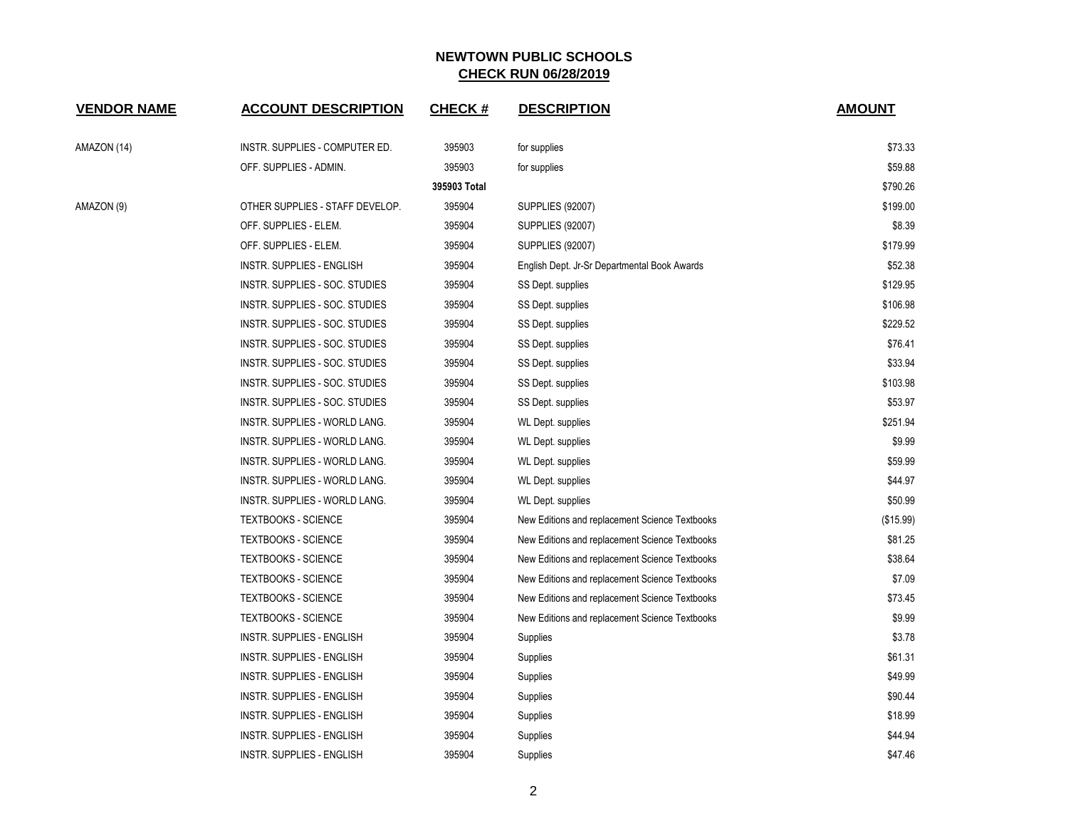| <b>VENDOR NAME</b> | <b>ACCOUNT DESCRIPTION</b>       | <b>CHECK#</b> | <b>DESCRIPTION</b>                             | <b>AMOUNT</b> |
|--------------------|----------------------------------|---------------|------------------------------------------------|---------------|
| AMAZON (14)        | INSTR. SUPPLIES - COMPUTER ED.   | 395903        | for supplies                                   | \$73.33       |
|                    | OFF. SUPPLIES - ADMIN.           | 395903        | for supplies                                   | \$59.88       |
|                    |                                  | 395903 Total  |                                                | \$790.26      |
| AMAZON (9)         | OTHER SUPPLIES - STAFF DEVELOP.  | 395904        | SUPPLIES (92007)                               | \$199.00      |
|                    | OFF. SUPPLIES - ELEM.            | 395904        | <b>SUPPLIES (92007)</b>                        | \$8.39        |
|                    | OFF. SUPPLIES - ELEM.            | 395904        | <b>SUPPLIES (92007)</b>                        | \$179.99      |
|                    | INSTR. SUPPLIES - ENGLISH        | 395904        | English Dept. Jr-Sr Departmental Book Awards   | \$52.38       |
|                    | INSTR. SUPPLIES - SOC. STUDIES   | 395904        | SS Dept. supplies                              | \$129.95      |
|                    | INSTR. SUPPLIES - SOC. STUDIES   | 395904        | SS Dept. supplies                              | \$106.98      |
|                    | INSTR. SUPPLIES - SOC. STUDIES   | 395904        | SS Dept. supplies                              | \$229.52      |
|                    | INSTR. SUPPLIES - SOC. STUDIES   | 395904        | SS Dept. supplies                              | \$76.41       |
|                    | INSTR. SUPPLIES - SOC. STUDIES   | 395904        | SS Dept. supplies                              | \$33.94       |
|                    | INSTR. SUPPLIES - SOC. STUDIES   | 395904        | SS Dept. supplies                              | \$103.98      |
|                    | INSTR. SUPPLIES - SOC. STUDIES   | 395904        | SS Dept. supplies                              | \$53.97       |
|                    | INSTR. SUPPLIES - WORLD LANG.    | 395904        | WL Dept. supplies                              | \$251.94      |
|                    | INSTR. SUPPLIES - WORLD LANG.    | 395904        | WL Dept. supplies                              | \$9.99        |
|                    | INSTR. SUPPLIES - WORLD LANG.    | 395904        | <b>WL Dept. supplies</b>                       | \$59.99       |
|                    | INSTR. SUPPLIES - WORLD LANG.    | 395904        | WL Dept. supplies                              | \$44.97       |
|                    | INSTR. SUPPLIES - WORLD LANG.    | 395904        | WL Dept. supplies                              | \$50.99       |
|                    | <b>TEXTBOOKS - SCIENCE</b>       | 395904        | New Editions and replacement Science Textbooks | (\$15.99)     |
|                    | <b>TEXTBOOKS - SCIENCE</b>       | 395904        | New Editions and replacement Science Textbooks | \$81.25       |
|                    | <b>TEXTBOOKS - SCIENCE</b>       | 395904        | New Editions and replacement Science Textbooks | \$38.64       |
|                    | <b>TEXTBOOKS - SCIENCE</b>       | 395904        | New Editions and replacement Science Textbooks | \$7.09        |
|                    | <b>TEXTBOOKS - SCIENCE</b>       | 395904        | New Editions and replacement Science Textbooks | \$73.45       |
|                    | <b>TEXTBOOKS - SCIENCE</b>       | 395904        | New Editions and replacement Science Textbooks | \$9.99        |
|                    | INSTR. SUPPLIES - ENGLISH        | 395904        | Supplies                                       | \$3.78        |
|                    | INSTR. SUPPLIES - ENGLISH        | 395904        | Supplies                                       | \$61.31       |
|                    | INSTR. SUPPLIES - ENGLISH        | 395904        | Supplies                                       | \$49.99       |
|                    | INSTR. SUPPLIES - ENGLISH        | 395904        | Supplies                                       | \$90.44       |
|                    | INSTR. SUPPLIES - ENGLISH        | 395904        | Supplies                                       | \$18.99       |
|                    | <b>INSTR. SUPPLIES - ENGLISH</b> | 395904        | Supplies                                       | \$44.94       |
|                    | <b>INSTR. SUPPLIES - ENGLISH</b> | 395904        | Supplies                                       | \$47.46       |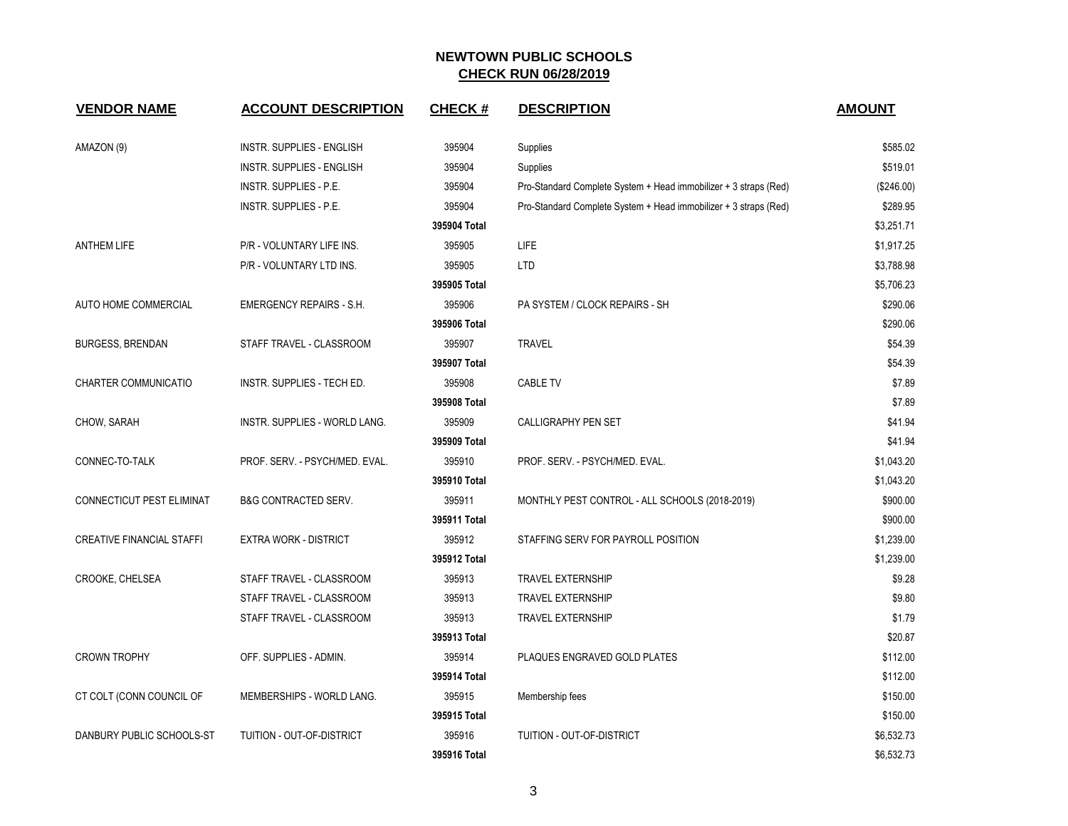| <b>VENDOR NAME</b>               | <b>ACCOUNT DESCRIPTION</b>       | <b>CHECK#</b> | <b>DESCRIPTION</b>                                               | <b>AMOUNT</b> |
|----------------------------------|----------------------------------|---------------|------------------------------------------------------------------|---------------|
| AMAZON (9)                       | <b>INSTR. SUPPLIES - ENGLISH</b> | 395904        | Supplies                                                         | \$585.02      |
|                                  | <b>INSTR. SUPPLIES - ENGLISH</b> | 395904        | Supplies                                                         | \$519.01      |
|                                  | INSTR. SUPPLIES - P.E.           | 395904        | Pro-Standard Complete System + Head immobilizer + 3 straps (Red) | (\$246.00)    |
|                                  | <b>INSTR. SUPPLIES - P.E.</b>    | 395904        | Pro-Standard Complete System + Head immobilizer + 3 straps (Red) | \$289.95      |
|                                  |                                  | 395904 Total  |                                                                  | \$3,251.71    |
| <b>ANTHEM LIFE</b>               | P/R - VOLUNTARY LIFE INS.        | 395905        | LIFE                                                             | \$1,917.25    |
|                                  | P/R - VOLUNTARY LTD INS.         | 395905        | <b>LTD</b>                                                       | \$3,788.98    |
|                                  |                                  | 395905 Total  |                                                                  | \$5,706.23    |
| AUTO HOME COMMERCIAL             | <b>EMERGENCY REPAIRS - S.H.</b>  | 395906        | PA SYSTEM / CLOCK REPAIRS - SH                                   | \$290.06      |
|                                  |                                  | 395906 Total  |                                                                  | \$290.06      |
| <b>BURGESS, BRENDAN</b>          | STAFF TRAVEL - CLASSROOM         | 395907        | <b>TRAVEL</b>                                                    | \$54.39       |
|                                  |                                  | 395907 Total  |                                                                  | \$54.39       |
| CHARTER COMMUNICATIO             | INSTR. SUPPLIES - TECH ED.       | 395908        | <b>CABLE TV</b>                                                  | \$7.89        |
|                                  |                                  | 395908 Total  |                                                                  | \$7.89        |
| CHOW, SARAH                      | INSTR. SUPPLIES - WORLD LANG.    | 395909        | <b>CALLIGRAPHY PEN SET</b>                                       | \$41.94       |
|                                  |                                  | 395909 Total  |                                                                  | \$41.94       |
| CONNEC-TO-TALK                   | PROF. SERV. - PSYCH/MED. EVAL.   | 395910        | PROF. SERV. - PSYCH/MED. EVAL.                                   | \$1,043.20    |
|                                  |                                  | 395910 Total  |                                                                  | \$1,043.20    |
| <b>CONNECTICUT PEST ELIMINAT</b> | <b>B&amp;G CONTRACTED SERV.</b>  | 395911        | MONTHLY PEST CONTROL - ALL SCHOOLS (2018-2019)                   | \$900.00      |
|                                  |                                  | 395911 Total  |                                                                  | \$900.00      |
| <b>CREATIVE FINANCIAL STAFFI</b> | <b>EXTRA WORK - DISTRICT</b>     | 395912        | STAFFING SERV FOR PAYROLL POSITION                               | \$1,239.00    |
|                                  |                                  | 395912 Total  |                                                                  | \$1,239.00    |
| CROOKE, CHELSEA                  | STAFF TRAVEL - CLASSROOM         | 395913        | <b>TRAVEL EXTERNSHIP</b>                                         | \$9.28        |
|                                  | STAFF TRAVEL - CLASSROOM         | 395913        | <b>TRAVEL EXTERNSHIP</b>                                         | \$9.80        |
|                                  | STAFF TRAVEL - CLASSROOM         | 395913        | <b>TRAVEL EXTERNSHIP</b>                                         | \$1.79        |
|                                  |                                  | 395913 Total  |                                                                  | \$20.87       |
| <b>CROWN TROPHY</b>              | OFF. SUPPLIES - ADMIN.           | 395914        | PLAQUES ENGRAVED GOLD PLATES                                     | \$112.00      |
|                                  |                                  | 395914 Total  |                                                                  | \$112.00      |
| CT COLT (CONN COUNCIL OF         | MEMBERSHIPS - WORLD LANG.        | 395915        | Membership fees                                                  | \$150.00      |
|                                  |                                  | 395915 Total  |                                                                  | \$150.00      |
| DANBURY PUBLIC SCHOOLS-ST        | TUITION - OUT-OF-DISTRICT        | 395916        | TUITION - OUT-OF-DISTRICT                                        | \$6,532.73    |
|                                  |                                  | 395916 Total  |                                                                  | \$6,532.73    |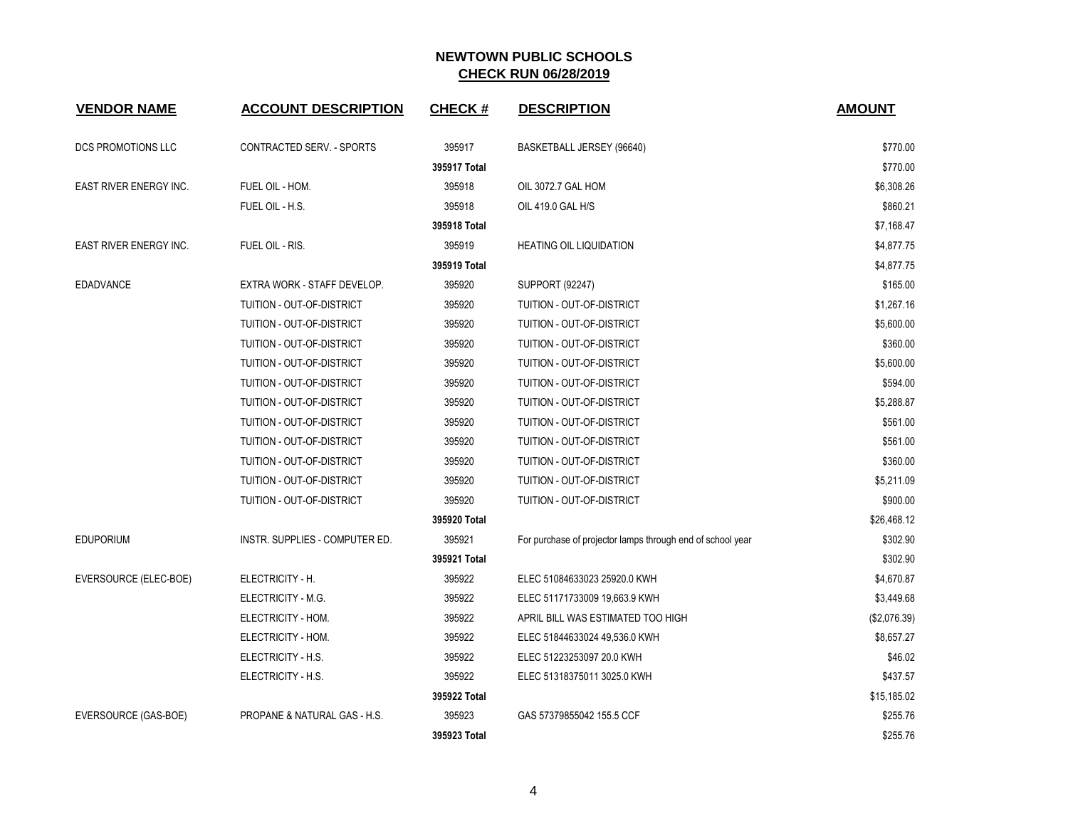| <b>VENDOR NAME</b>     | <b>ACCOUNT DESCRIPTION</b>     | <b>CHECK#</b> | <b>DESCRIPTION</b>                                         | <b>AMOUNT</b> |
|------------------------|--------------------------------|---------------|------------------------------------------------------------|---------------|
| DCS PROMOTIONS LLC     | CONTRACTED SERV. - SPORTS      | 395917        | BASKETBALL JERSEY (96640)                                  | \$770.00      |
|                        |                                | 395917 Total  |                                                            | \$770.00      |
| EAST RIVER ENERGY INC. | FUEL OIL - HOM.                | 395918        | OIL 3072.7 GAL HOM                                         | \$6,308.26    |
|                        | FUEL OIL - H.S.                | 395918        | OIL 419.0 GAL H/S                                          | \$860.21      |
|                        |                                | 395918 Total  |                                                            | \$7,168.47    |
| EAST RIVER ENERGY INC. | FUEL OIL - RIS.                | 395919        | <b>HEATING OIL LIQUIDATION</b>                             | \$4,877.75    |
|                        |                                | 395919 Total  |                                                            | \$4,877.75    |
| <b>EDADVANCE</b>       | EXTRA WORK - STAFF DEVELOP.    | 395920        | <b>SUPPORT (92247)</b>                                     | \$165.00      |
|                        | TUITION - OUT-OF-DISTRICT      | 395920        | TUITION - OUT-OF-DISTRICT                                  | \$1,267.16    |
|                        | TUITION - OUT-OF-DISTRICT      | 395920        | TUITION - OUT-OF-DISTRICT                                  | \$5,600.00    |
|                        | TUITION - OUT-OF-DISTRICT      | 395920        | TUITION - OUT-OF-DISTRICT                                  | \$360.00      |
|                        | TUITION - OUT-OF-DISTRICT      | 395920        | TUITION - OUT-OF-DISTRICT                                  | \$5,600.00    |
|                        | TUITION - OUT-OF-DISTRICT      | 395920        | TUITION - OUT-OF-DISTRICT                                  | \$594.00      |
|                        | TUITION - OUT-OF-DISTRICT      | 395920        | TUITION - OUT-OF-DISTRICT                                  | \$5,288.87    |
|                        | TUITION - OUT-OF-DISTRICT      | 395920        | TUITION - OUT-OF-DISTRICT                                  | \$561.00      |
|                        | TUITION - OUT-OF-DISTRICT      | 395920        | TUITION - OUT-OF-DISTRICT                                  | \$561.00      |
|                        | TUITION - OUT-OF-DISTRICT      | 395920        | TUITION - OUT-OF-DISTRICT                                  | \$360.00      |
|                        | TUITION - OUT-OF-DISTRICT      | 395920        | TUITION - OUT-OF-DISTRICT                                  | \$5,211.09    |
|                        | TUITION - OUT-OF-DISTRICT      | 395920        | TUITION - OUT-OF-DISTRICT                                  | \$900.00      |
|                        |                                | 395920 Total  |                                                            | \$26,468.12   |
| <b>EDUPORIUM</b>       | INSTR. SUPPLIES - COMPUTER ED. | 395921        | For purchase of projector lamps through end of school year | \$302.90      |
|                        |                                | 395921 Total  |                                                            | \$302.90      |
| EVERSOURCE (ELEC-BOE)  | ELECTRICITY - H.               | 395922        | ELEC 51084633023 25920.0 KWH                               | \$4,670.87    |
|                        | ELECTRICITY - M.G.             | 395922        | ELEC 51171733009 19,663.9 KWH                              | \$3,449.68    |
|                        | ELECTRICITY - HOM.             | 395922        | APRIL BILL WAS ESTIMATED TOO HIGH                          | (\$2,076.39)  |
|                        | ELECTRICITY - HOM.             | 395922        | ELEC 51844633024 49,536.0 KWH                              | \$8,657.27    |
|                        | ELECTRICITY - H.S.             | 395922        | ELEC 51223253097 20.0 KWH                                  | \$46.02       |
|                        | ELECTRICITY - H.S.             | 395922        | ELEC 51318375011 3025.0 KWH                                | \$437.57      |
|                        |                                | 395922 Total  |                                                            | \$15,185.02   |
| EVERSOURCE (GAS-BOE)   | PROPANE & NATURAL GAS - H.S.   | 395923        | GAS 57379855042 155.5 CCF                                  | \$255.76      |
|                        |                                | 395923 Total  |                                                            | \$255.76      |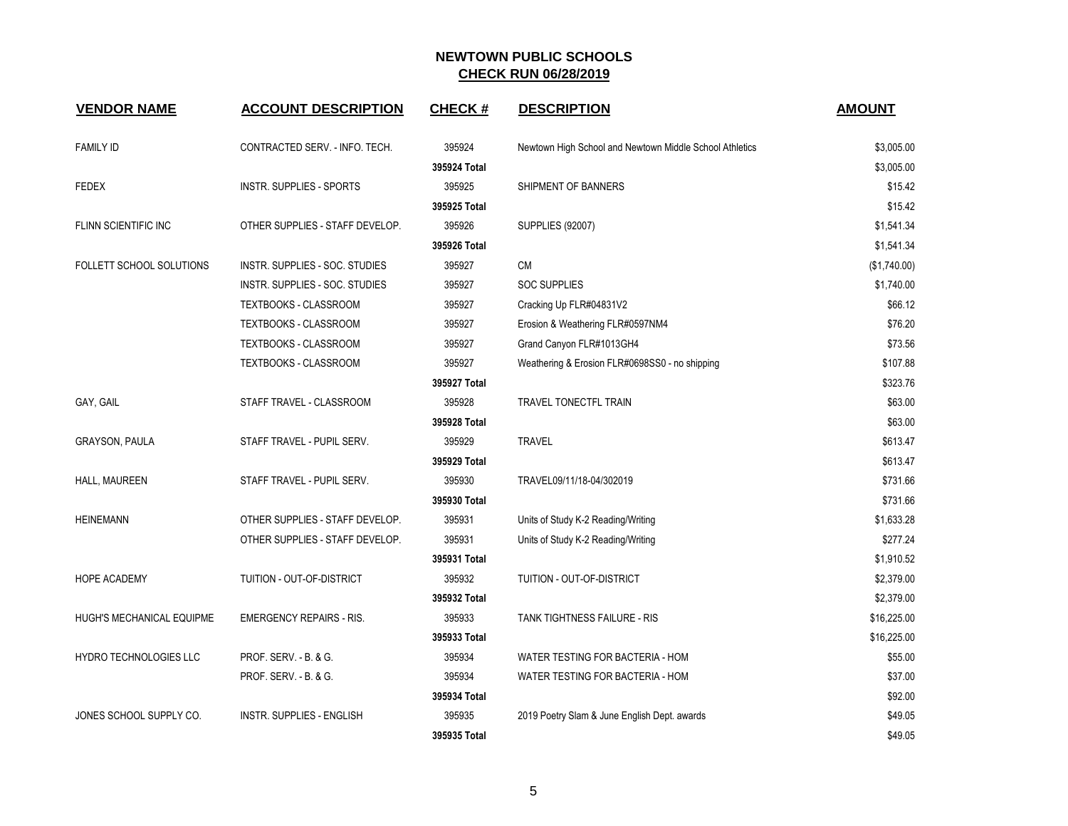| <b>VENDOR NAME</b>        | <b>ACCOUNT DESCRIPTION</b>       | <b>CHECK#</b> | <b>DESCRIPTION</b>                                      | <b>AMOUNT</b> |
|---------------------------|----------------------------------|---------------|---------------------------------------------------------|---------------|
| <b>FAMILY ID</b>          | CONTRACTED SERV. - INFO. TECH.   | 395924        | Newtown High School and Newtown Middle School Athletics | \$3,005.00    |
|                           |                                  | 395924 Total  |                                                         | \$3,005.00    |
| <b>FEDEX</b>              | INSTR. SUPPLIES - SPORTS         | 395925        | SHIPMENT OF BANNERS                                     | \$15.42       |
|                           |                                  | 395925 Total  |                                                         | \$15.42       |
| FLINN SCIENTIFIC INC      | OTHER SUPPLIES - STAFF DEVELOP.  | 395926        | <b>SUPPLIES (92007)</b>                                 | \$1,541.34    |
|                           |                                  | 395926 Total  |                                                         | \$1,541.34    |
| FOLLETT SCHOOL SOLUTIONS  | INSTR. SUPPLIES - SOC. STUDIES   | 395927        | <b>CM</b>                                               | (\$1,740.00)  |
|                           | INSTR. SUPPLIES - SOC. STUDIES   | 395927        | SOC SUPPLIES                                            | \$1,740.00    |
|                           | <b>TEXTBOOKS - CLASSROOM</b>     | 395927        | Cracking Up FLR#04831V2                                 | \$66.12       |
|                           | TEXTBOOKS - CLASSROOM            | 395927        | Erosion & Weathering FLR#0597NM4                        | \$76.20       |
|                           | <b>TEXTBOOKS - CLASSROOM</b>     | 395927        | Grand Canyon FLR#1013GH4                                | \$73.56       |
|                           | <b>TEXTBOOKS - CLASSROOM</b>     | 395927        | Weathering & Erosion FLR#0698SS0 - no shipping          | \$107.88      |
|                           |                                  | 395927 Total  |                                                         | \$323.76      |
| GAY, GAIL                 | STAFF TRAVEL - CLASSROOM         | 395928        | TRAVEL TONECTFL TRAIN                                   | \$63.00       |
|                           |                                  | 395928 Total  |                                                         | \$63.00       |
| GRAYSON, PAULA            | STAFF TRAVEL - PUPIL SERV.       | 395929        | <b>TRAVEL</b>                                           | \$613.47      |
|                           |                                  | 395929 Total  |                                                         | \$613.47      |
| HALL, MAUREEN             | STAFF TRAVEL - PUPIL SERV.       | 395930        | TRAVEL09/11/18-04/302019                                | \$731.66      |
|                           |                                  | 395930 Total  |                                                         | \$731.66      |
| <b>HEINEMANN</b>          | OTHER SUPPLIES - STAFF DEVELOP.  | 395931        | Units of Study K-2 Reading/Writing                      | \$1,633.28    |
|                           | OTHER SUPPLIES - STAFF DEVELOP.  | 395931        | Units of Study K-2 Reading/Writing                      | \$277.24      |
|                           |                                  | 395931 Total  |                                                         | \$1,910.52    |
| HOPE ACADEMY              | TUITION - OUT-OF-DISTRICT        | 395932        | TUITION - OUT-OF-DISTRICT                               | \$2,379.00    |
|                           |                                  | 395932 Total  |                                                         | \$2,379.00    |
| HUGH'S MECHANICAL EQUIPME | <b>EMERGENCY REPAIRS - RIS.</b>  | 395933        | TANK TIGHTNESS FAILURE - RIS                            | \$16,225.00   |
|                           |                                  | 395933 Total  |                                                         | \$16,225.00   |
| HYDRO TECHNOLOGIES LLC    | PROF. SERV. - B. & G.            | 395934        | WATER TESTING FOR BACTERIA - HOM                        | \$55.00       |
|                           | PROF. SERV. - B. & G.            | 395934        | WATER TESTING FOR BACTERIA - HOM                        | \$37.00       |
|                           |                                  | 395934 Total  |                                                         | \$92.00       |
| JONES SCHOOL SUPPLY CO.   | <b>INSTR. SUPPLIES - ENGLISH</b> | 395935        | 2019 Poetry Slam & June English Dept. awards            | \$49.05       |
|                           |                                  | 395935 Total  |                                                         | \$49.05       |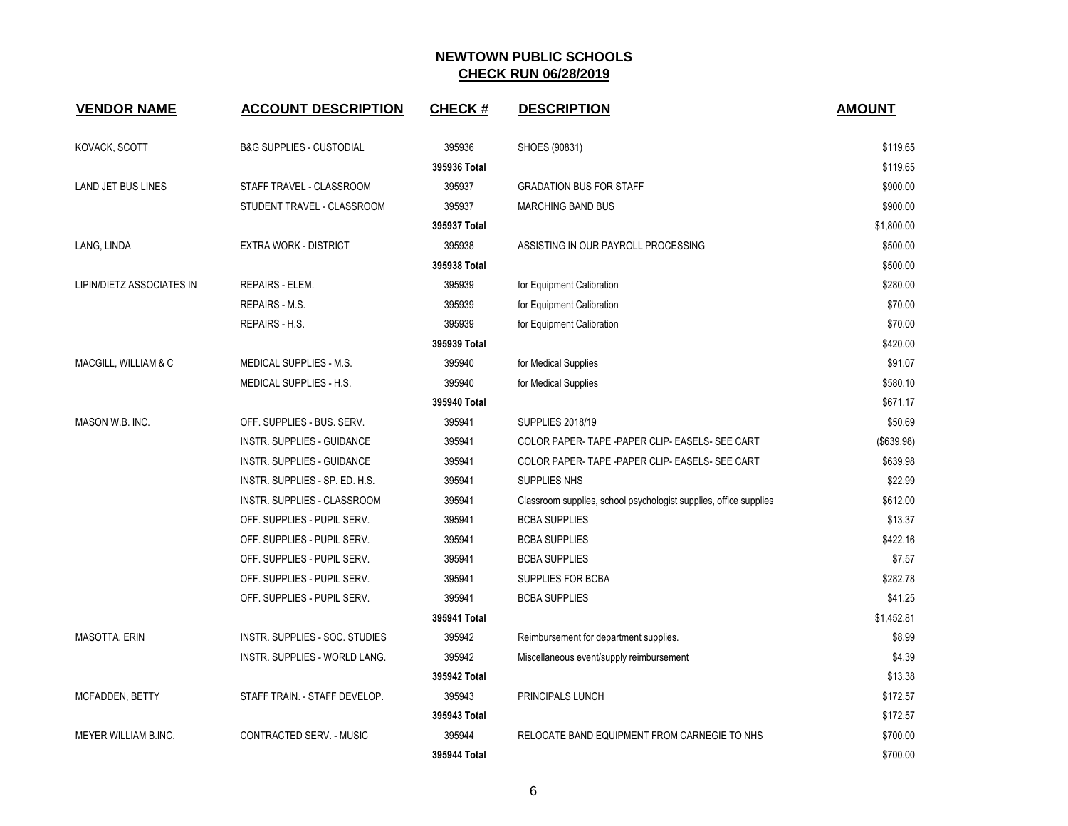| <b>VENDOR NAME</b>        | <b>ACCOUNT DESCRIPTION</b>          | <b>CHECK#</b> | <b>DESCRIPTION</b>                                                | <b>AMOUNT</b> |
|---------------------------|-------------------------------------|---------------|-------------------------------------------------------------------|---------------|
| KOVACK, SCOTT             | <b>B&amp;G SUPPLIES - CUSTODIAL</b> | 395936        | SHOES (90831)                                                     | \$119.65      |
|                           |                                     | 395936 Total  |                                                                   | \$119.65      |
| LAND JET BUS LINES        | STAFF TRAVEL - CLASSROOM            | 395937        | <b>GRADATION BUS FOR STAFF</b>                                    | \$900.00      |
|                           | STUDENT TRAVEL - CLASSROOM          | 395937        | <b>MARCHING BAND BUS</b>                                          | \$900.00      |
|                           |                                     | 395937 Total  |                                                                   | \$1,800.00    |
| LANG, LINDA               | <b>EXTRA WORK - DISTRICT</b>        | 395938        | ASSISTING IN OUR PAYROLL PROCESSING                               | \$500.00      |
|                           |                                     | 395938 Total  |                                                                   | \$500.00      |
| LIPIN/DIETZ ASSOCIATES IN | REPAIRS - ELEM.                     | 395939        | for Equipment Calibration                                         | \$280.00      |
|                           | REPAIRS - M.S.                      | 395939        | for Equipment Calibration                                         | \$70.00       |
|                           | REPAIRS - H.S.                      | 395939        | for Equipment Calibration                                         | \$70.00       |
|                           |                                     | 395939 Total  |                                                                   | \$420.00      |
| MACGILL, WILLIAM & C      | MEDICAL SUPPLIES - M.S.             | 395940        | for Medical Supplies                                              | \$91.07       |
|                           | MEDICAL SUPPLIES - H.S.             | 395940        | for Medical Supplies                                              | \$580.10      |
|                           |                                     | 395940 Total  |                                                                   | \$671.17      |
| MASON W.B. INC.           | OFF. SUPPLIES - BUS. SERV.          | 395941        | <b>SUPPLIES 2018/19</b>                                           | \$50.69       |
|                           | INSTR. SUPPLIES - GUIDANCE          | 395941        | COLOR PAPER-TAPE - PAPER CLIP- EASELS- SEE CART                   | (\$639.98)    |
|                           | <b>INSTR. SUPPLIES - GUIDANCE</b>   | 395941        | COLOR PAPER- TAPE - PAPER CLIP- EASELS- SEE CART                  | \$639.98      |
|                           | INSTR. SUPPLIES - SP. ED. H.S.      | 395941        | <b>SUPPLIES NHS</b>                                               | \$22.99       |
|                           | INSTR. SUPPLIES - CLASSROOM         | 395941        | Classroom supplies, school psychologist supplies, office supplies | \$612.00      |
|                           | OFF. SUPPLIES - PUPIL SERV.         | 395941        | <b>BCBA SUPPLIES</b>                                              | \$13.37       |
|                           | OFF. SUPPLIES - PUPIL SERV.         | 395941        | <b>BCBA SUPPLIES</b>                                              | \$422.16      |
|                           | OFF. SUPPLIES - PUPIL SERV.         | 395941        | <b>BCBA SUPPLIES</b>                                              | \$7.57        |
|                           | OFF. SUPPLIES - PUPIL SERV.         | 395941        | SUPPLIES FOR BCBA                                                 | \$282.78      |
|                           | OFF. SUPPLIES - PUPIL SERV.         | 395941        | <b>BCBA SUPPLIES</b>                                              | \$41.25       |
|                           |                                     | 395941 Total  |                                                                   | \$1,452.81    |
| MASOTTA, ERIN             | INSTR. SUPPLIES - SOC. STUDIES      | 395942        | Reimbursement for department supplies.                            | \$8.99        |
|                           | INSTR. SUPPLIES - WORLD LANG.       | 395942        | Miscellaneous event/supply reimbursement                          | \$4.39        |
|                           |                                     | 395942 Total  |                                                                   | \$13.38       |
| MCFADDEN, BETTY           | STAFF TRAIN. - STAFF DEVELOP.       | 395943        | PRINCIPALS LUNCH                                                  | \$172.57      |
|                           |                                     | 395943 Total  |                                                                   | \$172.57      |
| MEYER WILLIAM B.INC.      | CONTRACTED SERV. - MUSIC            | 395944        | RELOCATE BAND EQUIPMENT FROM CARNEGIE TO NHS                      | \$700.00      |
|                           |                                     | 395944 Total  |                                                                   | \$700.00      |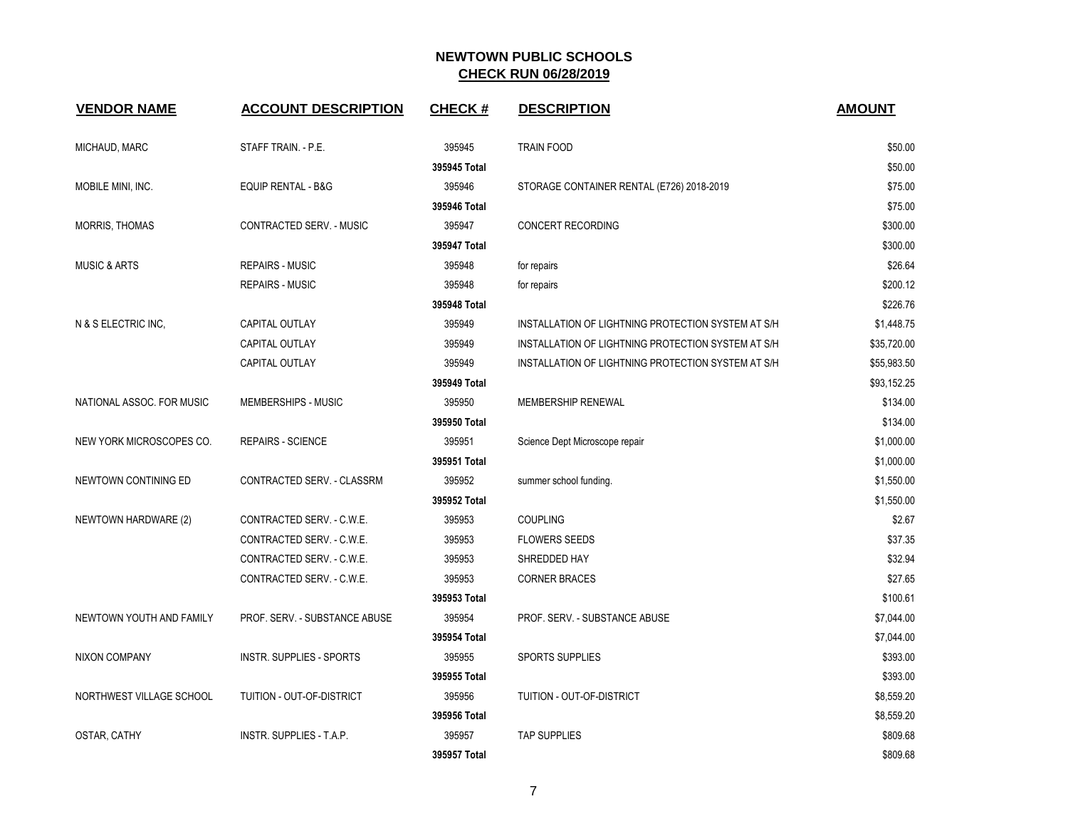| <b>VENDOR NAME</b>        | <b>ACCOUNT DESCRIPTION</b>      | <b>CHECK#</b> | <b>DESCRIPTION</b>                                 | <b>AMOUNT</b> |
|---------------------------|---------------------------------|---------------|----------------------------------------------------|---------------|
| MICHAUD, MARC             | STAFF TRAIN. - P.E.             | 395945        | <b>TRAIN FOOD</b>                                  | \$50.00       |
|                           |                                 | 395945 Total  |                                                    | \$50.00       |
| MOBILE MINI, INC.         | <b>EQUIP RENTAL - B&amp;G</b>   | 395946        | STORAGE CONTAINER RENTAL (E726) 2018-2019          | \$75.00       |
|                           |                                 | 395946 Total  |                                                    | \$75.00       |
| <b>MORRIS, THOMAS</b>     | CONTRACTED SERV. - MUSIC        | 395947        | CONCERT RECORDING                                  | \$300.00      |
|                           |                                 | 395947 Total  |                                                    | \$300.00      |
| <b>MUSIC &amp; ARTS</b>   | <b>REPAIRS - MUSIC</b>          | 395948        | for repairs                                        | \$26.64       |
|                           | <b>REPAIRS - MUSIC</b>          | 395948        | for repairs                                        | \$200.12      |
|                           |                                 | 395948 Total  |                                                    | \$226.76      |
| N & S ELECTRIC INC,       | CAPITAL OUTLAY                  | 395949        | INSTALLATION OF LIGHTNING PROTECTION SYSTEM AT S/H | \$1,448.75    |
|                           | CAPITAL OUTLAY                  | 395949        | INSTALLATION OF LIGHTNING PROTECTION SYSTEM AT S/H | \$35,720.00   |
|                           | CAPITAL OUTLAY                  | 395949        | INSTALLATION OF LIGHTNING PROTECTION SYSTEM AT S/H | \$55,983.50   |
|                           |                                 | 395949 Total  |                                                    | \$93,152.25   |
| NATIONAL ASSOC. FOR MUSIC | MEMBERSHIPS - MUSIC             | 395950        | <b>MEMBERSHIP RENEWAL</b>                          | \$134.00      |
|                           |                                 | 395950 Total  |                                                    | \$134.00      |
| NEW YORK MICROSCOPES CO.  | <b>REPAIRS - SCIENCE</b>        | 395951        | Science Dept Microscope repair                     | \$1,000.00    |
|                           |                                 | 395951 Total  |                                                    | \$1,000.00    |
| NEWTOWN CONTINING ED      | CONTRACTED SERV. - CLASSRM      | 395952        | summer school funding.                             | \$1,550.00    |
|                           |                                 | 395952 Total  |                                                    | \$1,550.00    |
| NEWTOWN HARDWARE (2)      | CONTRACTED SERV. - C.W.E.       | 395953        | <b>COUPLING</b>                                    | \$2.67        |
|                           | CONTRACTED SERV. - C.W.E.       | 395953        | <b>FLOWERS SEEDS</b>                               | \$37.35       |
|                           | CONTRACTED SERV. - C.W.E.       | 395953        | SHREDDED HAY                                       | \$32.94       |
|                           | CONTRACTED SERV. - C.W.E.       | 395953        | <b>CORNER BRACES</b>                               | \$27.65       |
|                           |                                 | 395953 Total  |                                                    | \$100.61      |
| NEWTOWN YOUTH AND FAMILY  | PROF. SERV. - SUBSTANCE ABUSE   | 395954        | PROF. SERV. - SUBSTANCE ABUSE                      | \$7,044.00    |
|                           |                                 | 395954 Total  |                                                    | \$7,044.00    |
| NIXON COMPANY             | <b>INSTR. SUPPLIES - SPORTS</b> | 395955        | <b>SPORTS SUPPLIES</b>                             | \$393.00      |
|                           |                                 | 395955 Total  |                                                    | \$393.00      |
| NORTHWEST VILLAGE SCHOOL  | TUITION - OUT-OF-DISTRICT       | 395956        | TUITION - OUT-OF-DISTRICT                          | \$8,559.20    |
|                           |                                 | 395956 Total  |                                                    | \$8,559.20    |
| OSTAR, CATHY              | INSTR. SUPPLIES - T.A.P.        | 395957        | <b>TAP SUPPLIES</b>                                | \$809.68      |
|                           |                                 | 395957 Total  |                                                    | \$809.68      |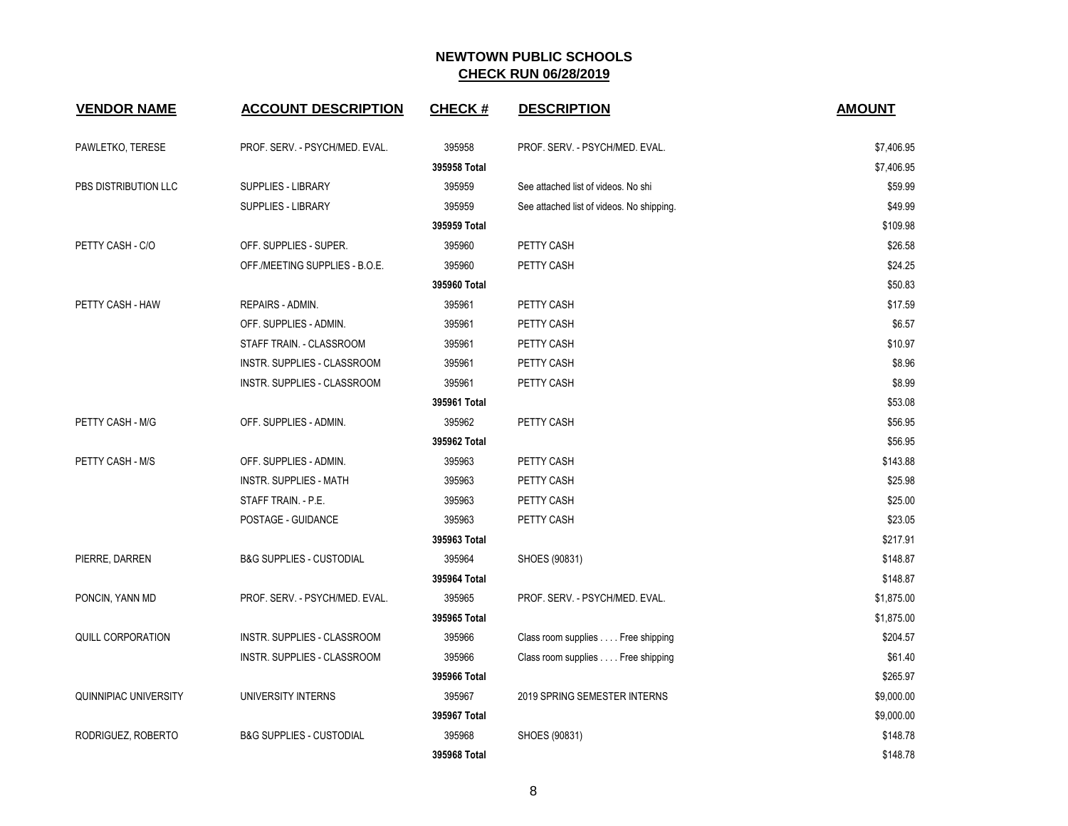| <b>VENDOR NAME</b>    | <b>ACCOUNT DESCRIPTION</b>          | <b>CHECK#</b> | <b>DESCRIPTION</b>                        | <b>AMOUNT</b> |
|-----------------------|-------------------------------------|---------------|-------------------------------------------|---------------|
| PAWLETKO, TERESE      | PROF. SERV. - PSYCH/MED. EVAL.      | 395958        | PROF. SERV. - PSYCH/MED. EVAL.            | \$7,406.95    |
|                       |                                     | 395958 Total  |                                           | \$7,406.95    |
| PBS DISTRIBUTION LLC  | <b>SUPPLIES - LIBRARY</b>           | 395959        | See attached list of videos. No shi       | \$59.99       |
|                       | SUPPLIES - LIBRARY                  | 395959        | See attached list of videos. No shipping. | \$49.99       |
|                       |                                     | 395959 Total  |                                           | \$109.98      |
| PETTY CASH - C/O      | OFF. SUPPLIES - SUPER.              | 395960        | PETTY CASH                                | \$26.58       |
|                       | OFF./MEETING SUPPLIES - B.O.E.      | 395960        | PETTY CASH                                | \$24.25       |
|                       |                                     | 395960 Total  |                                           | \$50.83       |
| PETTY CASH - HAW      | REPAIRS - ADMIN.                    | 395961        | PETTY CASH                                | \$17.59       |
|                       | OFF. SUPPLIES - ADMIN.              | 395961        | PETTY CASH                                | \$6.57        |
|                       | STAFF TRAIN. - CLASSROOM            | 395961        | PETTY CASH                                | \$10.97       |
|                       | INSTR. SUPPLIES - CLASSROOM         | 395961        | PETTY CASH                                | \$8.96        |
|                       | INSTR. SUPPLIES - CLASSROOM         | 395961        | PETTY CASH                                | \$8.99        |
|                       |                                     | 395961 Total  |                                           | \$53.08       |
| PETTY CASH - M/G      | OFF. SUPPLIES - ADMIN.              | 395962        | PETTY CASH                                | \$56.95       |
|                       |                                     | 395962 Total  |                                           | \$56.95       |
| PETTY CASH - M/S      | OFF. SUPPLIES - ADMIN.              | 395963        | PETTY CASH                                | \$143.88      |
|                       | INSTR. SUPPLIES - MATH              | 395963        | PETTY CASH                                | \$25.98       |
|                       | STAFF TRAIN. - P.E.                 | 395963        | PETTY CASH                                | \$25.00       |
|                       | POSTAGE - GUIDANCE                  | 395963        | PETTY CASH                                | \$23.05       |
|                       |                                     | 395963 Total  |                                           | \$217.91      |
| PIERRE, DARREN        | <b>B&amp;G SUPPLIES - CUSTODIAL</b> | 395964        | SHOES (90831)                             | \$148.87      |
|                       |                                     | 395964 Total  |                                           | \$148.87      |
| PONCIN, YANN MD       | PROF. SERV. - PSYCH/MED. EVAL.      | 395965        | PROF. SERV. - PSYCH/MED. EVAL.            | \$1,875.00    |
|                       |                                     | 395965 Total  |                                           | \$1,875.00    |
| QUILL CORPORATION     | INSTR. SUPPLIES - CLASSROOM         | 395966        | Class room supplies Free shipping         | \$204.57      |
|                       | INSTR. SUPPLIES - CLASSROOM         | 395966        | Class room supplies Free shipping         | \$61.40       |
|                       |                                     | 395966 Total  |                                           | \$265.97      |
| QUINNIPIAC UNIVERSITY | UNIVERSITY INTERNS                  | 395967        | 2019 SPRING SEMESTER INTERNS              | \$9,000.00    |
|                       |                                     | 395967 Total  |                                           | \$9,000.00    |
| RODRIGUEZ, ROBERTO    | <b>B&amp;G SUPPLIES - CUSTODIAL</b> | 395968        | SHOES (90831)                             | \$148.78      |
|                       |                                     | 395968 Total  |                                           | \$148.78      |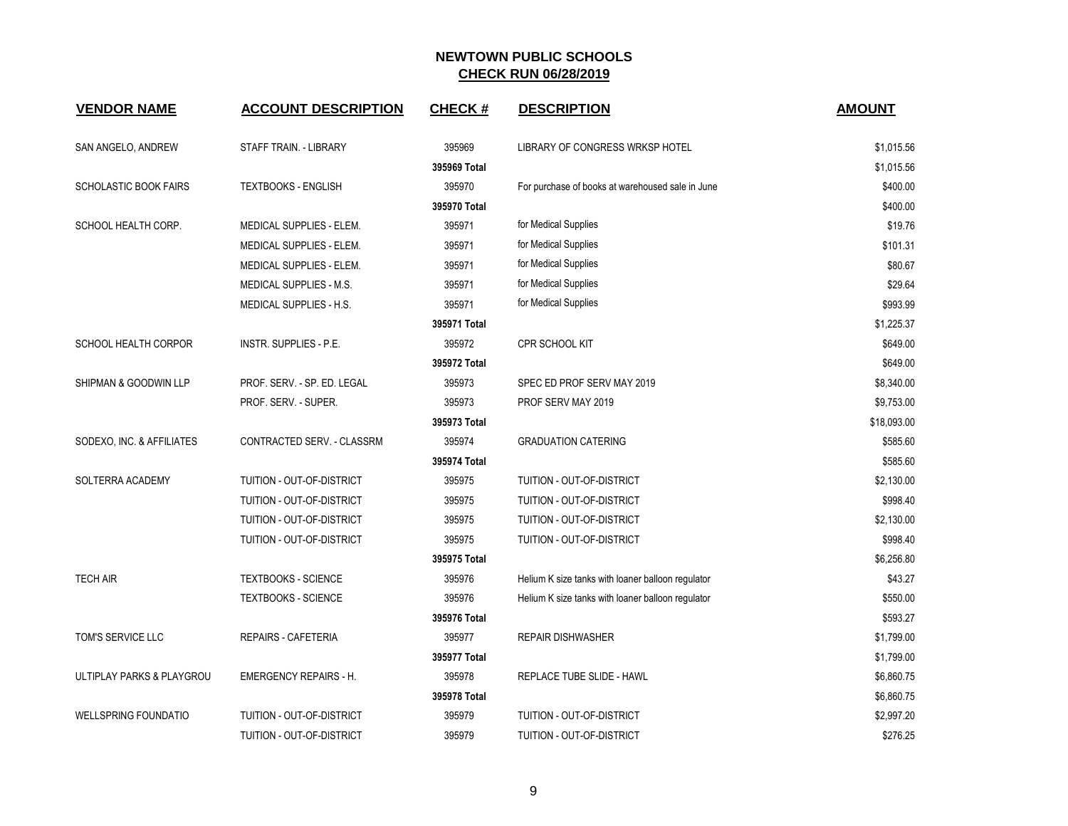| <b>VENDOR NAME</b>           | <b>ACCOUNT DESCRIPTION</b>       | <b>CHECK#</b> | <b>DESCRIPTION</b>                                | <b>AMOUNT</b> |
|------------------------------|----------------------------------|---------------|---------------------------------------------------|---------------|
| SAN ANGELO, ANDREW           | STAFF TRAIN. - LIBRARY           | 395969        | LIBRARY OF CONGRESS WRKSP HOTEL                   | \$1,015.56    |
|                              |                                  | 395969 Total  |                                                   | \$1,015.56    |
| <b>SCHOLASTIC BOOK FAIRS</b> | <b>TEXTBOOKS - ENGLISH</b>       | 395970        | For purchase of books at warehoused sale in June  | \$400.00      |
|                              |                                  | 395970 Total  |                                                   | \$400.00      |
| SCHOOL HEALTH CORP.          | MEDICAL SUPPLIES - ELEM.         | 395971        | for Medical Supplies                              | \$19.76       |
|                              | <b>MEDICAL SUPPLIES - ELEM.</b>  | 395971        | for Medical Supplies                              | \$101.31      |
|                              | MEDICAL SUPPLIES - ELEM.         | 395971        | for Medical Supplies                              | \$80.67       |
|                              | MEDICAL SUPPLIES - M.S.          | 395971        | for Medical Supplies                              | \$29.64       |
|                              | MEDICAL SUPPLIES - H.S.          | 395971        | for Medical Supplies                              | \$993.99      |
|                              |                                  | 395971 Total  |                                                   | \$1,225.37    |
| <b>SCHOOL HEALTH CORPOR</b>  | <b>INSTR. SUPPLIES - P.E.</b>    | 395972        | CPR SCHOOL KIT                                    | \$649.00      |
|                              |                                  | 395972 Total  |                                                   | \$649.00      |
| SHIPMAN & GOODWIN LLP        | PROF. SERV. - SP. ED. LEGAL      | 395973        | SPEC ED PROF SERV MAY 2019                        | \$8,340.00    |
|                              | PROF. SERV. - SUPER.             | 395973        | PROF SERV MAY 2019                                | \$9,753.00    |
|                              |                                  | 395973 Total  |                                                   | \$18,093.00   |
| SODEXO, INC. & AFFILIATES    | CONTRACTED SERV. - CLASSRM       | 395974        | <b>GRADUATION CATERING</b>                        | \$585.60      |
|                              |                                  | 395974 Total  |                                                   | \$585.60      |
| SOLTERRA ACADEMY             | <b>TUITION - OUT-OF-DISTRICT</b> | 395975        | <b>TUITION - OUT-OF-DISTRICT</b>                  | \$2,130.00    |
|                              | <b>TUITION - OUT-OF-DISTRICT</b> | 395975        | TUITION - OUT-OF-DISTRICT                         | \$998.40      |
|                              | TUITION - OUT-OF-DISTRICT        | 395975        | TUITION - OUT-OF-DISTRICT                         | \$2,130.00    |
|                              | TUITION - OUT-OF-DISTRICT        | 395975        | TUITION - OUT-OF-DISTRICT                         | \$998.40      |
|                              |                                  | 395975 Total  |                                                   | \$6,256.80    |
| <b>TECH AIR</b>              | <b>TEXTBOOKS - SCIENCE</b>       | 395976        | Helium K size tanks with loaner balloon regulator | \$43.27       |
|                              | <b>TEXTBOOKS - SCIENCE</b>       | 395976        | Helium K size tanks with loaner balloon regulator | \$550.00      |
|                              |                                  | 395976 Total  |                                                   | \$593.27      |
| TOM'S SERVICE LLC            | <b>REPAIRS - CAFETERIA</b>       | 395977        | <b>REPAIR DISHWASHER</b>                          | \$1,799.00    |
|                              |                                  | 395977 Total  |                                                   | \$1,799.00    |
| ULTIPLAY PARKS & PLAYGROU    | <b>EMERGENCY REPAIRS - H.</b>    | 395978        | REPLACE TUBE SLIDE - HAWL                         | \$6,860.75    |
|                              |                                  | 395978 Total  |                                                   | \$6,860.75    |
| <b>WELLSPRING FOUNDATIO</b>  | TUITION - OUT-OF-DISTRICT        | 395979        | <b>TUITION - OUT-OF-DISTRICT</b>                  | \$2,997.20    |
|                              | TUITION - OUT-OF-DISTRICT        | 395979        | TUITION - OUT-OF-DISTRICT                         | \$276.25      |